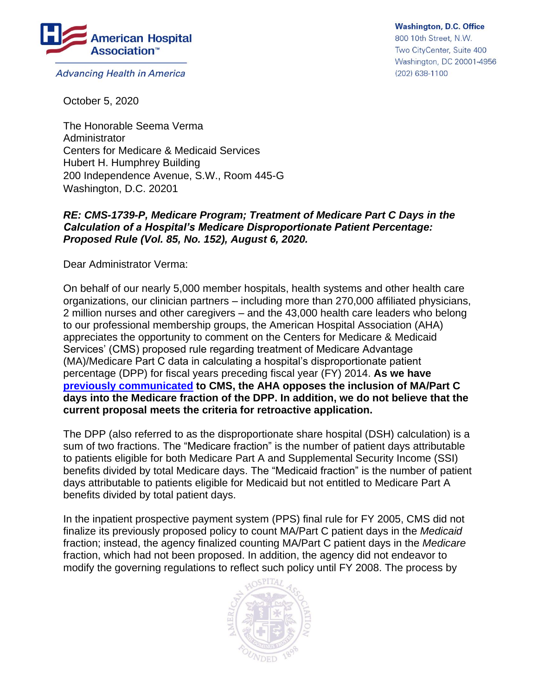

**Advancing Health in America** 

**Washington, D.C. Office** 800 10th Street, N.W. Two CityCenter, Suite 400 Washington, DC 20001-4956 (202) 638-1100

October 5, 2020

The Honorable Seema Verma Administrator Centers for Medicare & Medicaid Services Hubert H. Humphrey Building 200 Independence Avenue, S.W., Room 445-G Washington, D.C. 20201

## *RE: CMS-1739-P, Medicare Program; Treatment of Medicare Part C Days in the Calculation of a Hospital's Medicare Disproportionate Patient Percentage: Proposed Rule (Vol. 85, No. 152), August 6, 2020.*

Dear Administrator Verma:

On behalf of our nearly 5,000 member hospitals, health systems and other health care organizations, our clinician partners – including more than 270,000 affiliated physicians, 2 million nurses and other caregivers – and the 43,000 health care leaders who belong to our professional membership groups, the American Hospital Association (AHA) appreciates the opportunity to comment on the Centers for Medicare & Medicaid Services' (CMS) proposed rule regarding treatment of Medicare Advantage (MA)/Medicare Part C data in calculating a hospital's disproportionate patient percentage (DPP) for fiscal years preceding fiscal year (FY) 2014. **As we have [previously communicated](https://www.aha.org/lettercomment/2013-06-20-aha-comments-re-cms-hospital-inpatient-prospective-payment-system-pps) to CMS, the AHA opposes the inclusion of MA/Part C days into the Medicare fraction of the DPP. In addition, we do not believe that the current proposal meets the criteria for retroactive application.**

The DPP (also referred to as the disproportionate share hospital (DSH) calculation) is a sum of two fractions. The "Medicare fraction" is the number of patient days attributable to patients eligible for both Medicare Part A and Supplemental Security Income (SSI) benefits divided by total Medicare days. The "Medicaid fraction" is the number of patient days attributable to patients eligible for Medicaid but not entitled to Medicare Part A benefits divided by total patient days.

In the inpatient prospective payment system (PPS) final rule for FY 2005, CMS did not finalize its previously proposed policy to count MA/Part C patient days in the *Medicaid* fraction; instead, the agency finalized counting MA/Part C patient days in the *Medicare* fraction, which had not been proposed. In addition, the agency did not endeavor to modify the governing regulations to reflect such policy until FY 2008. The process by

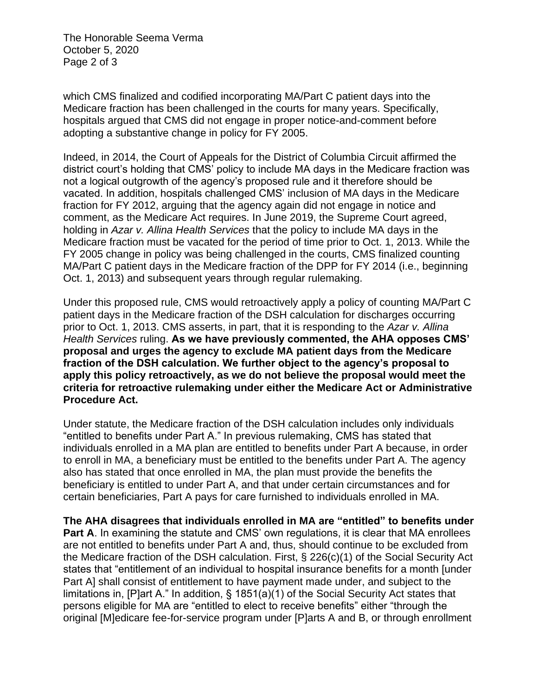The Honorable Seema Verma October 5, 2020 Page 2 of 3

which CMS finalized and codified incorporating MA/Part C patient days into the Medicare fraction has been challenged in the courts for many years. Specifically, hospitals argued that CMS did not engage in proper notice-and-comment before adopting a substantive change in policy for FY 2005.

Indeed, in 2014, the Court of Appeals for the District of Columbia Circuit affirmed the district court's holding that CMS' policy to include MA days in the Medicare fraction was not a logical outgrowth of the agency's proposed rule and it therefore should be vacated. In addition, hospitals challenged CMS' inclusion of MA days in the Medicare fraction for FY 2012, arguing that the agency again did not engage in notice and comment, as the Medicare Act requires. In June 2019, the Supreme Court agreed, holding in *Azar v. Allina Health Services* that the policy to include MA days in the Medicare fraction must be vacated for the period of time prior to Oct. 1, 2013. While the FY 2005 change in policy was being challenged in the courts, CMS finalized counting MA/Part C patient days in the Medicare fraction of the DPP for FY 2014 (i.e., beginning Oct. 1, 2013) and subsequent years through regular rulemaking.

Under this proposed rule, CMS would retroactively apply a policy of counting MA/Part C patient days in the Medicare fraction of the DSH calculation for discharges occurring prior to Oct. 1, 2013. CMS asserts, in part, that it is responding to the *Azar v. Allina Health Services* ruling. **As we have previously commented, the AHA opposes CMS' proposal and urges the agency to exclude MA patient days from the Medicare fraction of the DSH calculation. We further object to the agency's proposal to apply this policy retroactively, as we do not believe the proposal would meet the criteria for retroactive rulemaking under either the Medicare Act or Administrative Procedure Act.** 

Under statute, the Medicare fraction of the DSH calculation includes only individuals "entitled to benefits under Part A." In previous rulemaking, CMS has stated that individuals enrolled in a MA plan are entitled to benefits under Part A because, in order to enroll in MA, a beneficiary must be entitled to the benefits under Part A. The agency also has stated that once enrolled in MA, the plan must provide the benefits the beneficiary is entitled to under Part A, and that under certain circumstances and for certain beneficiaries, Part A pays for care furnished to individuals enrolled in MA.

**The AHA disagrees that individuals enrolled in MA are "entitled" to benefits under Part A.** In examining the statute and CMS' own regulations, it is clear that MA enrollees are not entitled to benefits under Part A and, thus, should continue to be excluded from the Medicare fraction of the DSH calculation. First, § 226(c)(1) of the Social Security Act states that "entitlement of an individual to hospital insurance benefits for a month [under Part A] shall consist of entitlement to have payment made under, and subject to the limitations in, [P]art A." In addition, § 1851(a)(1) of the Social Security Act states that persons eligible for MA are "entitled to elect to receive benefits" either "through the original [M]edicare fee-for-service program under [P]arts A and B, or through enrollment